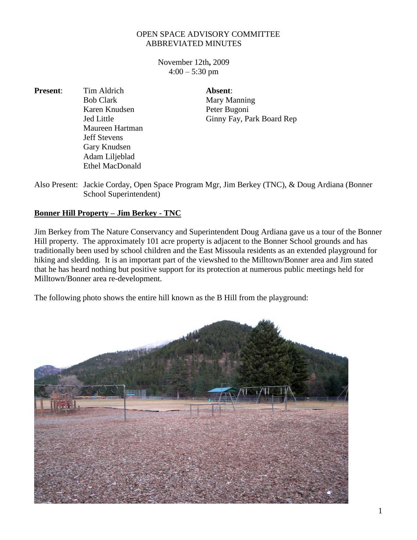## OPEN SPACE ADVISORY COMMITTEE ABBREVIATED MINUTES

November 12th**,** 2009  $4:00 - 5:30$  pm

**Present:** Tim Aldrich **Absent:** Maureen Hartman Jeff Stevens Gary Knudsen Adam Liljeblad Ethel MacDonald

Bob Clark Mary Manning Karen Knudsen Peter Bugoni Jed Little Ginny Fay, Park Board Rep

Also Present: Jackie Corday, Open Space Program Mgr, Jim Berkey (TNC), & Doug Ardiana (Bonner School Superintendent)

## **Bonner Hill Property – Jim Berkey - TNC**

Jim Berkey from The Nature Conservancy and Superintendent Doug Ardiana gave us a tour of the Bonner Hill property. The approximately 101 acre property is adjacent to the Bonner School grounds and has traditionally been used by school children and the East Missoula residents as an extended playground for hiking and sledding. It is an important part of the viewshed to the Milltown/Bonner area and Jim stated that he has heard nothing but positive support for its protection at numerous public meetings held for Milltown/Bonner area re-development.

The following photo shows the entire hill known as the B Hill from the playground: